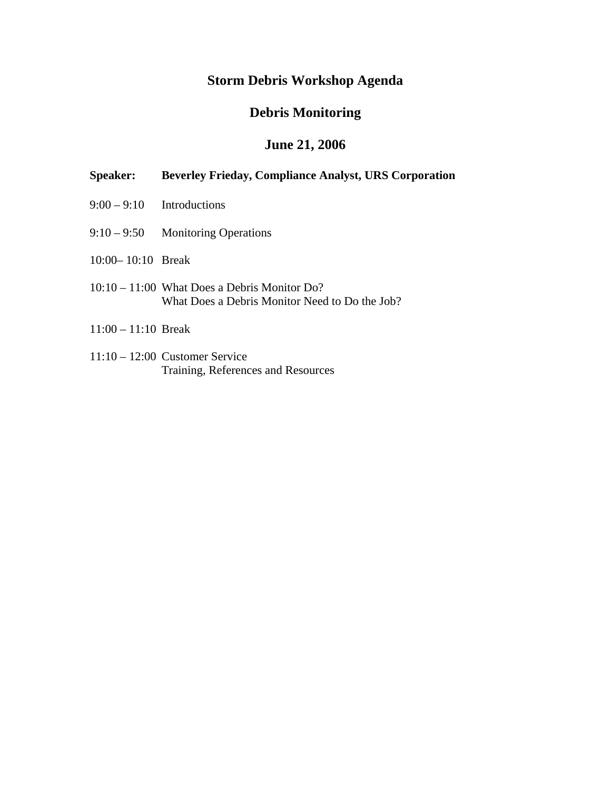#### **Storm Debris Workshop Agenda**

#### **Debris Monitoring**

#### **June 21, 2006**

#### **Speaker: Beverley Frieday, Compliance Analyst, URS Corporation**

- $9:00 9:10$  Introductions
- 9:10 9:50 Monitoring Operations
- 10:00– 10:10 Break
- 10:10 11:00 What Does a Debris Monitor Do? What Does a Debris Monitor Need to Do the Job?
- 11:00 11:10 Break
- 11:10 12:00 Customer Service Training, References and Resources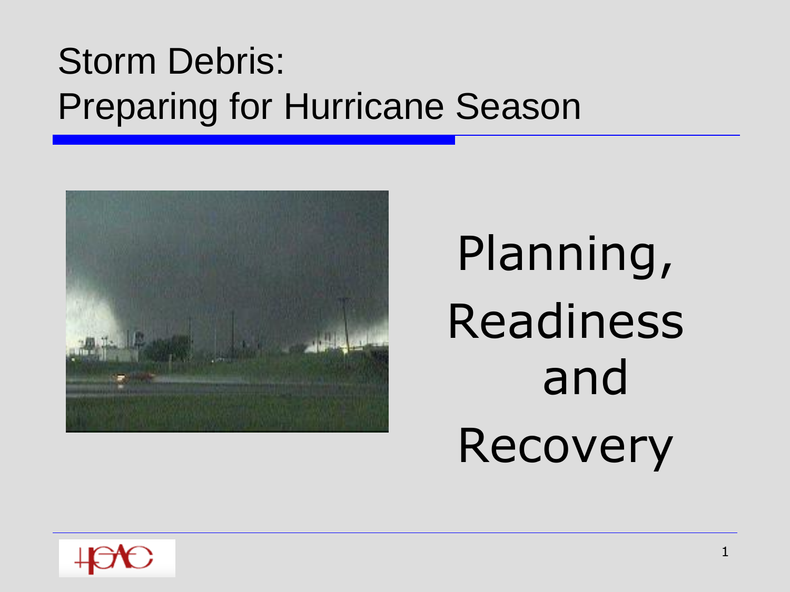

# Planning, Readiness and Recovery

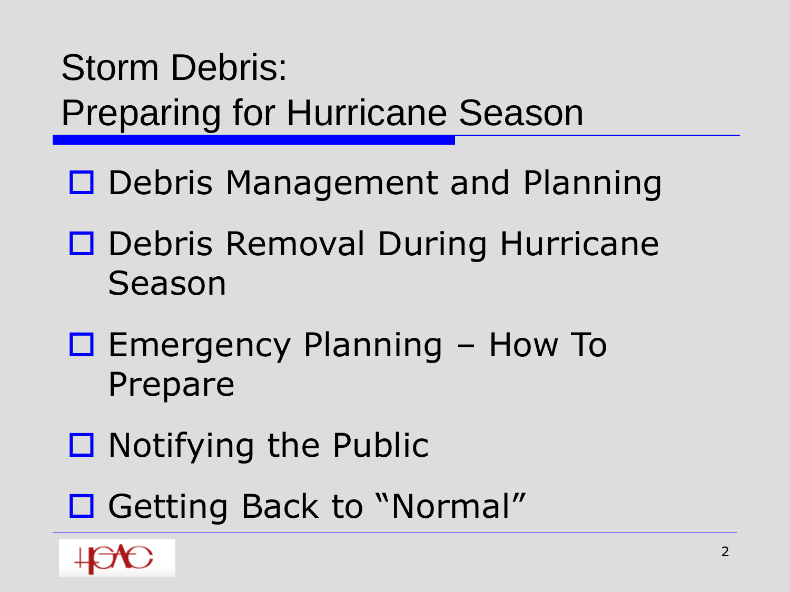- □ Debris Management and Planning
- □ Debris Removal During Hurricane Season
- $\Box$  Emergency Planning How To Prepare
- $\Box$  Notifying the Public
- □ Getting Back to "Normal"

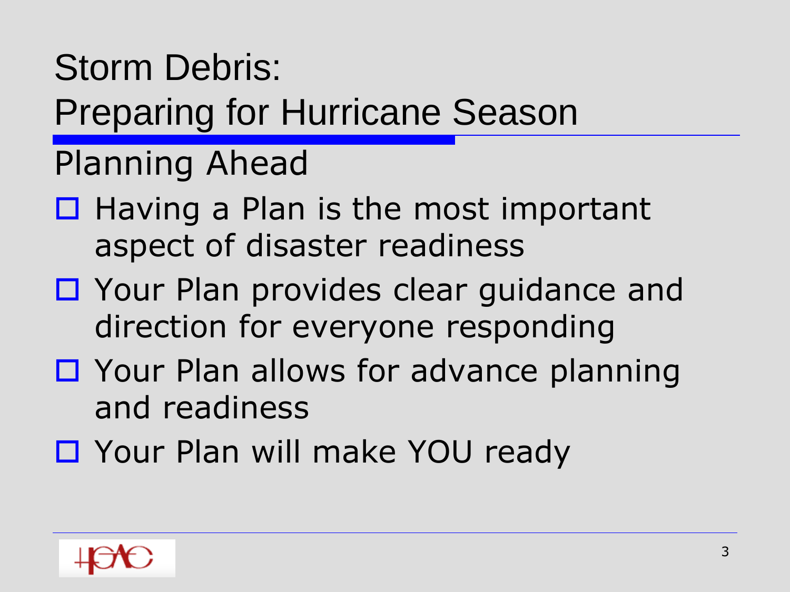#### Storm Debris:

Preparing for Hurricane Season

Planning Ahead

- $\Box$  Having a Plan is the most important aspect of disaster readiness
- □ Your Plan provides clear guidance and direction for everyone responding
- □ Your Plan allows for advance planning and readiness
- □ Your Plan will make YOU ready

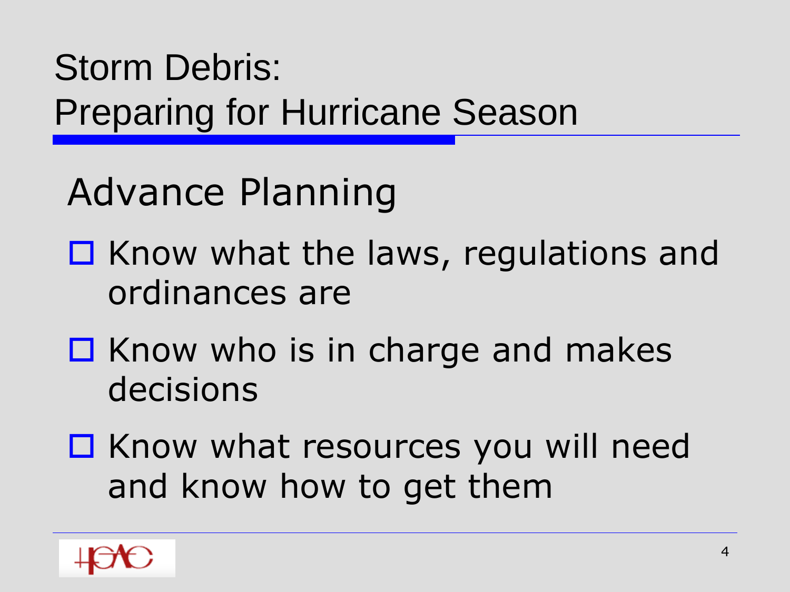Advance Planning

- $\Box$  Know what the laws, regulations and ordinances are
- $\Box$  Know who is in charge and makes decisions
- □ Know what resources you will need and know how to get them

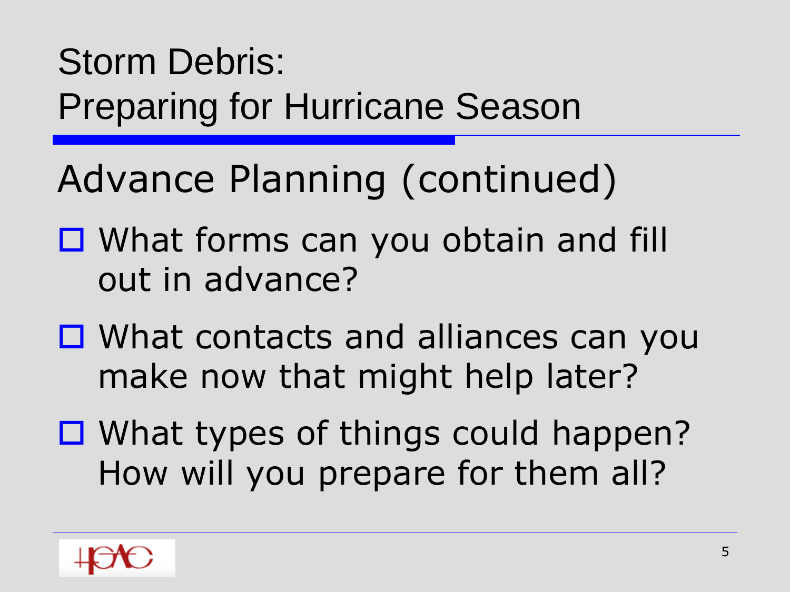Advance Planning (continued)

- □ What forms can you obtain and fill out in advance?
- What contacts and alliances can you make now that might help later?
- □ What types of things could happen? How will you prepare for them all?

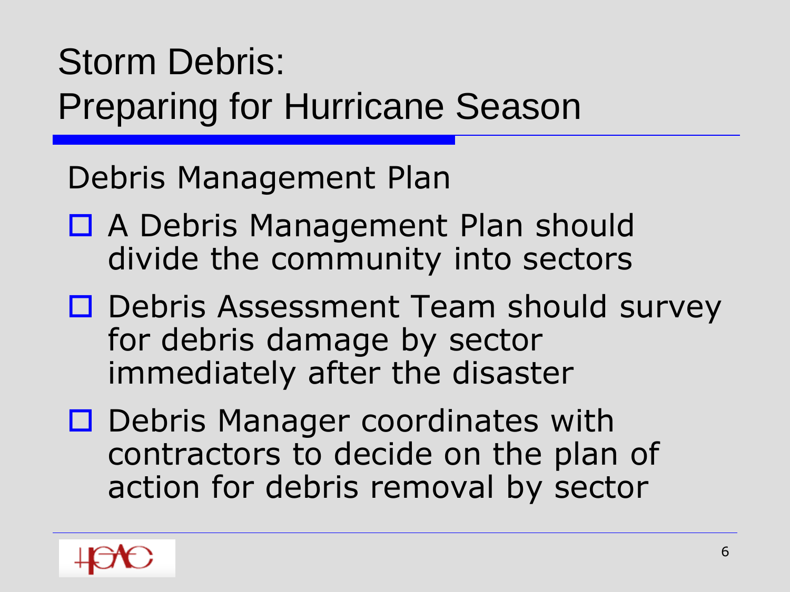Debris Management Plan

- □ A Debris Management Plan should divide the community into sectors
- □ Debris Assessment Team should survey for debris damage by sector immediately after the disaster
- □ Debris Manager coordinates with contractors to decide on the plan of action for debris removal by sector

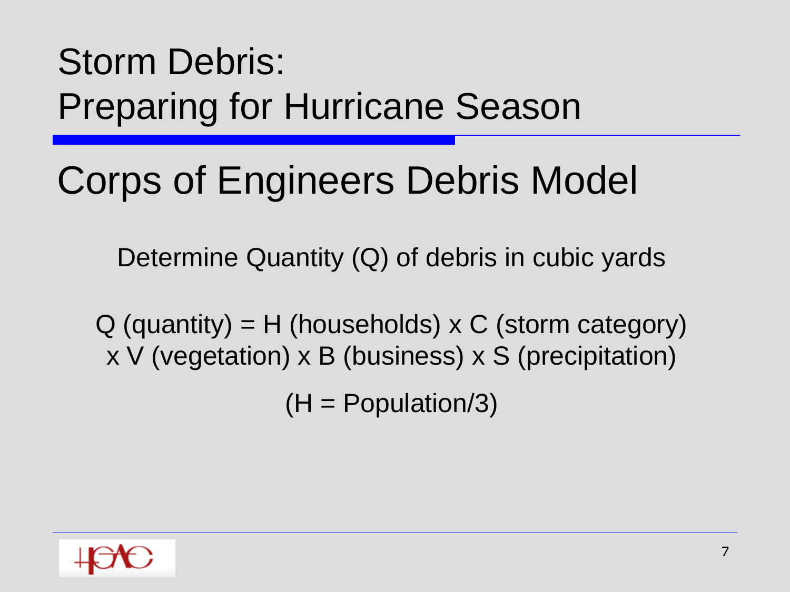# Corps of Engineers Debris Model

Determine Quantity (Q) of debris in cubic yards

 $Q$  (quantity) = H (households) x C (storm category) x V (vegetation) x B (business) x S (precipitation)

 $(H = Population/3)$ 

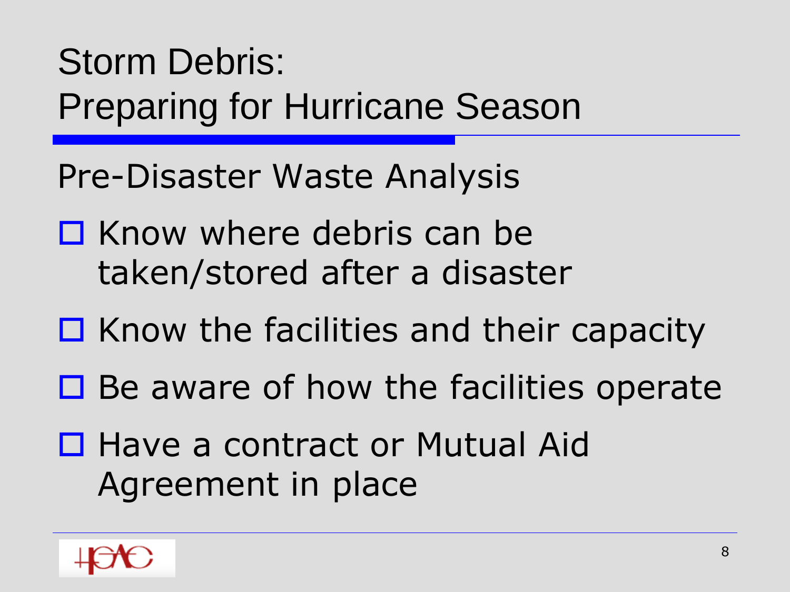Pre-Disaster Waste Analysis

- $\Box$  Know where debris can be taken/stored after a disaster
- $\Box$  Know the facilities and their capacity
- $\Box$  Be aware of how the facilities operate
- □ Have a contract or Mutual Aid Agreement in place

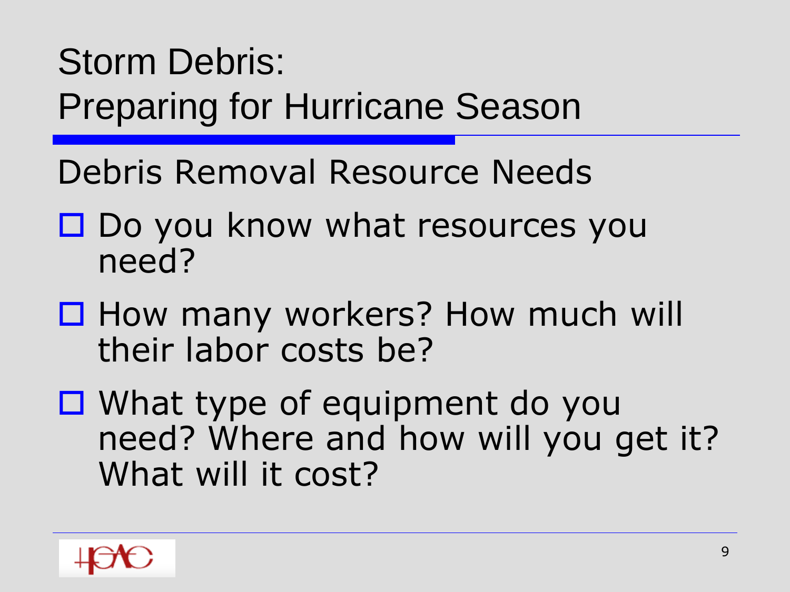- Debris Removal Resource Needs
- $\square$  Do you know what resources you need?
- □ How many workers? How much will their labor costs be?
- What type of equipment do you need? Where and how will you get it? What will it cost?

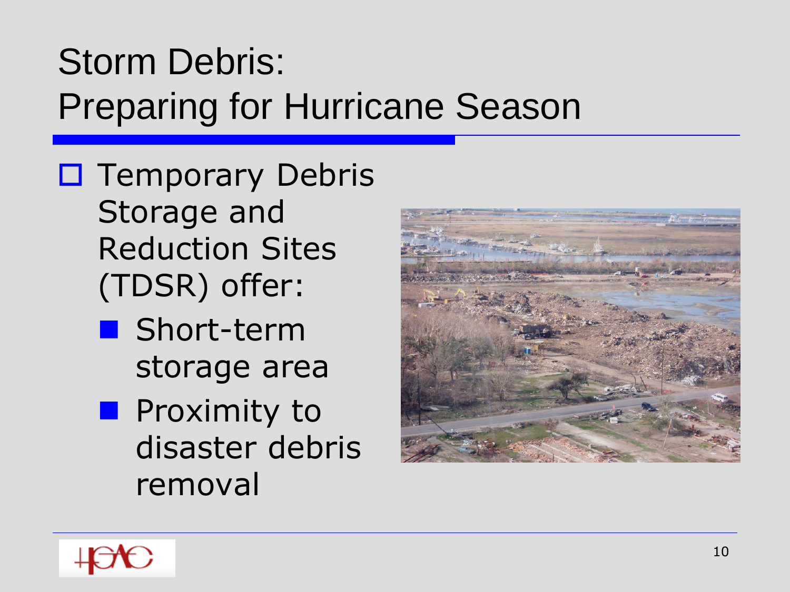$\square$  Temporary Debris Storage and Reduction Sites (TDSR) offer:

- Short-term storage area
- **Proximity to** disaster debris removal



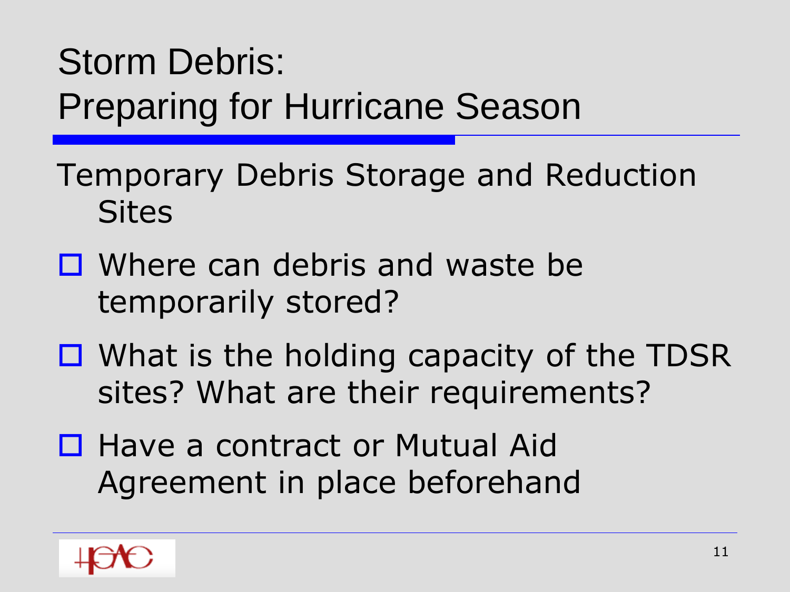- Temporary Debris Storage and Reduction **Sites**
- Where can debris and waste be temporarily stored?
- $\Box$  What is the holding capacity of the TDSR sites? What are their requirements?
- □ Have a contract or Mutual Aid Agreement in place beforehand

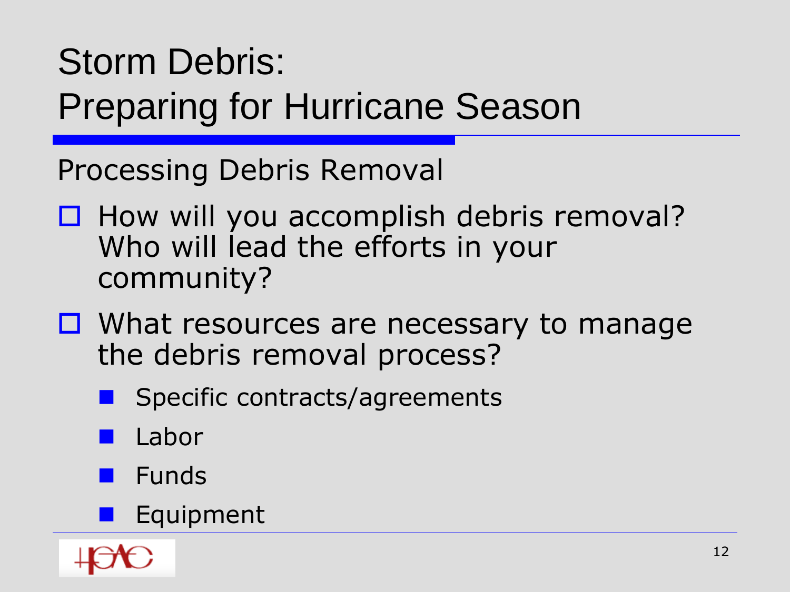Processing Debris Removal

- $\Box$  How will you accomplish debris removal? Who will lead the efforts in your community?
- □ What resources are necessary to manage the debris removal process?
	- Specific contracts/agreements
	- Labor
	- Funds
	- **Equipment**

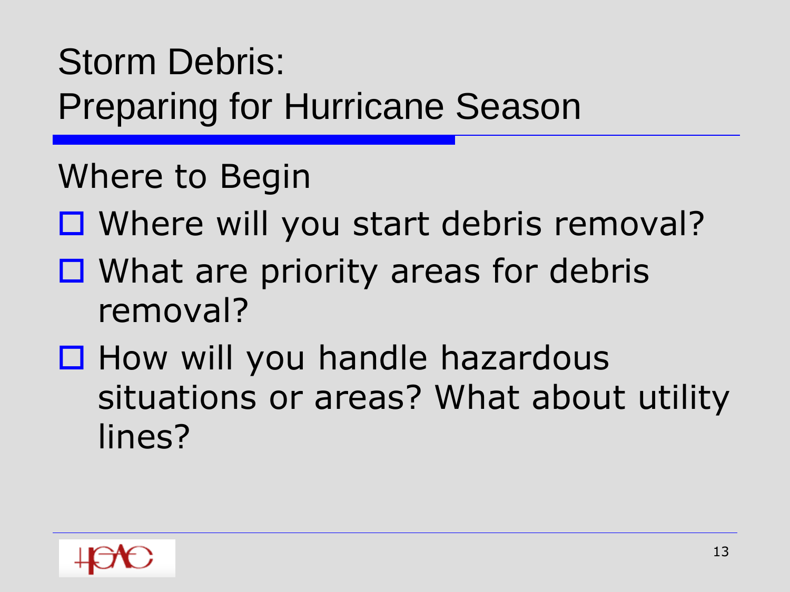Where to Begin

- □ Where will you start debris removal?
- $\Box$  What are priority areas for debris removal?
- $\Box$  How will you handle hazardous situations or areas? What about utility lines?

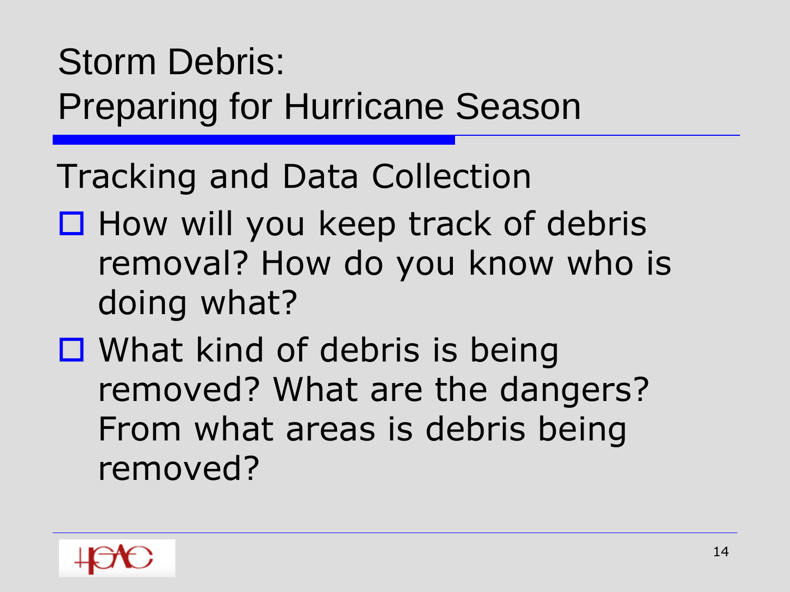Tracking and Data Collection

- $\Box$  How will you keep track of debris removal? How do you know who is doing what?
- $\Box$  What kind of debris is being removed? What are the dangers? From what areas is debris being removed?

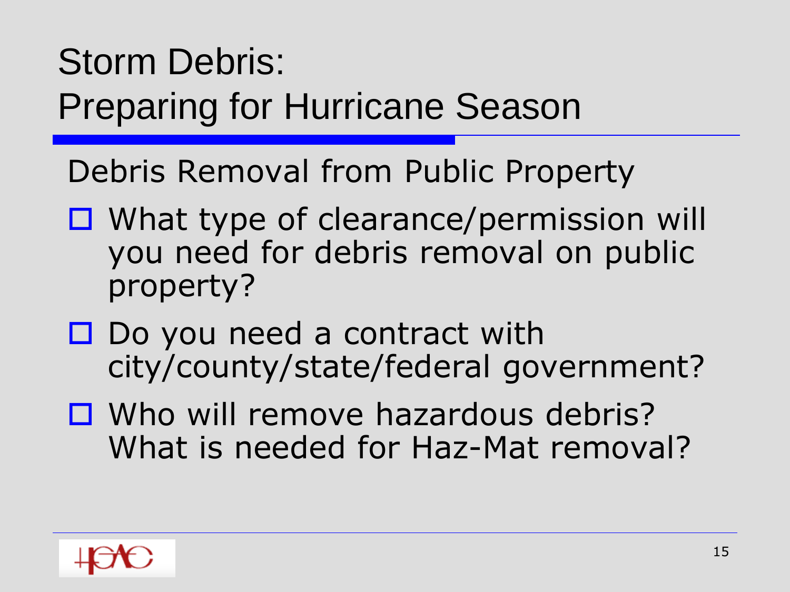Debris Removal from Public Property

- □ What type of clearance/permission will you need for debris removal on public property?
- $\square$  Do you need a contract with city/county/state/federal government?
- □ Who will remove hazardous debris? What is needed for Haz-Mat removal?

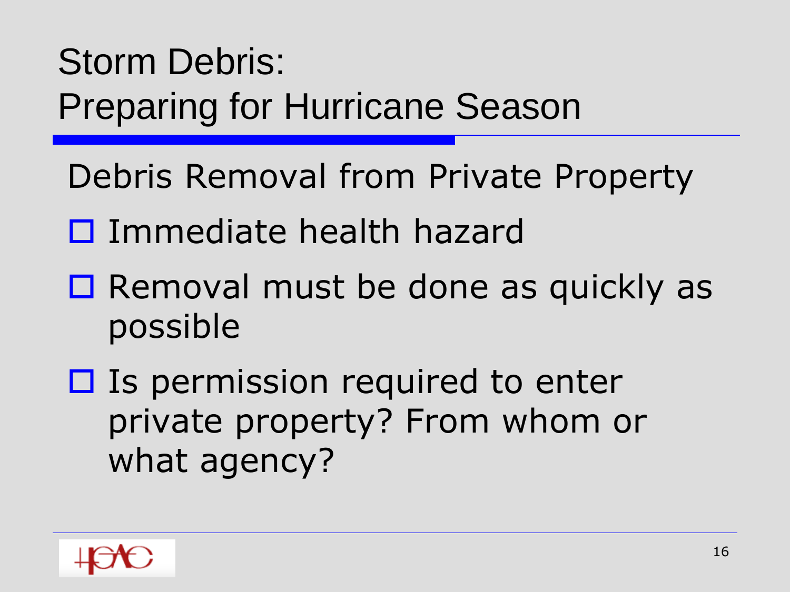Debris Removal from Private Property

- □ Immediate health hazard
- $\Box$  Removal must be done as quickly as possible
- $\Box$  Is permission required to enter private property? From whom or what agency?

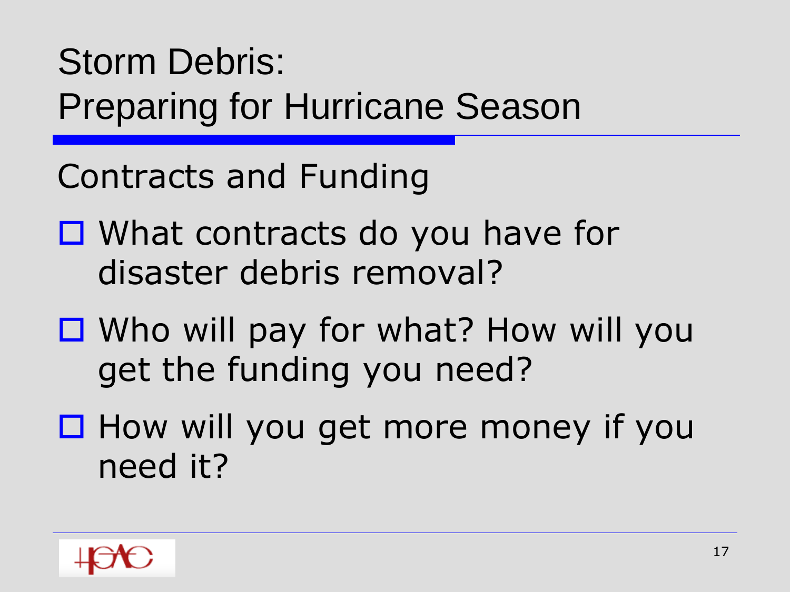Contracts and Funding

- □ What contracts do you have for disaster debris removal?
- Who will pay for what? How will you get the funding you need?
- $\Box$  How will you get more money if you need it?

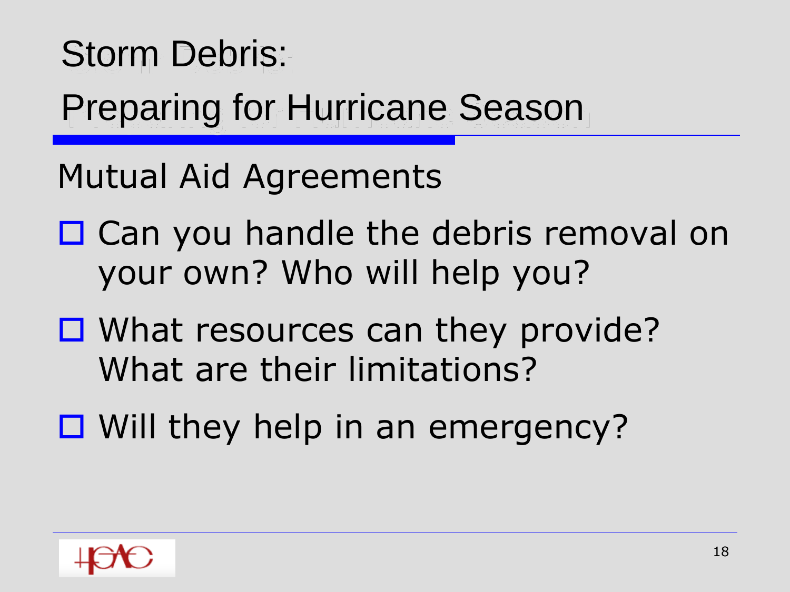#### Storm Debris:

#### Preparing for Hurricane Season

Mutual Aid Agreements

- □ Can you handle the debris removal on your own? Who will help you?
- □ What resources can they provide? What are their limitations?
- $\Box$  Will they help in an emergency?

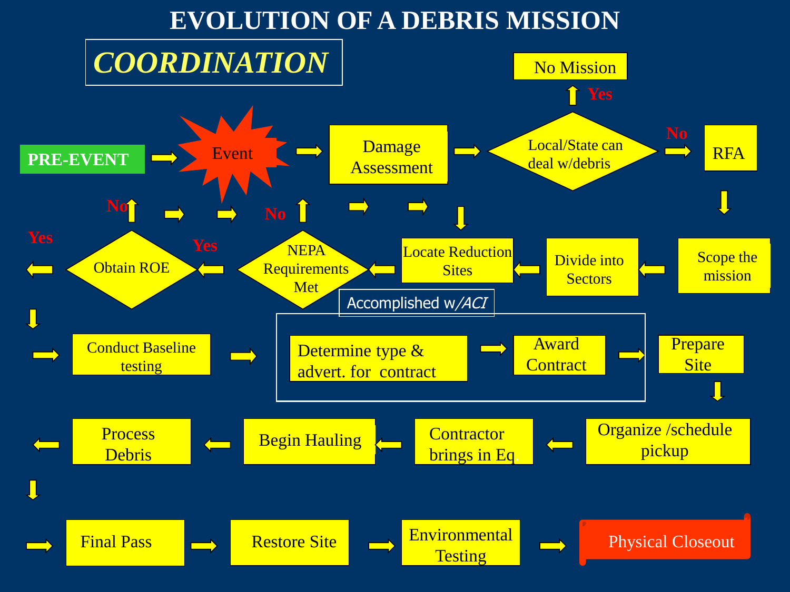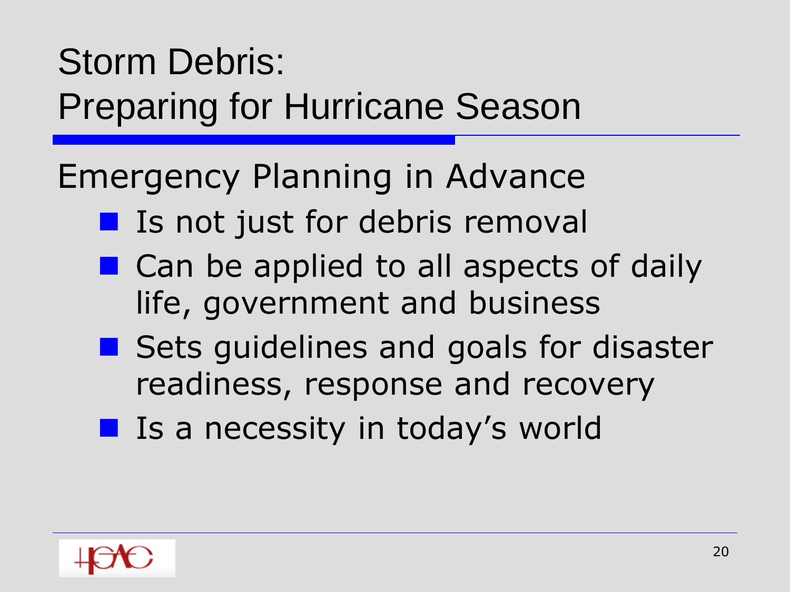Emergency Planning in Advance

- **If** Is not just for debris removal
- Can be applied to all aspects of daily life, government and business
- Sets guidelines and goals for disaster readiness, response and recovery
- **I** Is a necessity in today's world

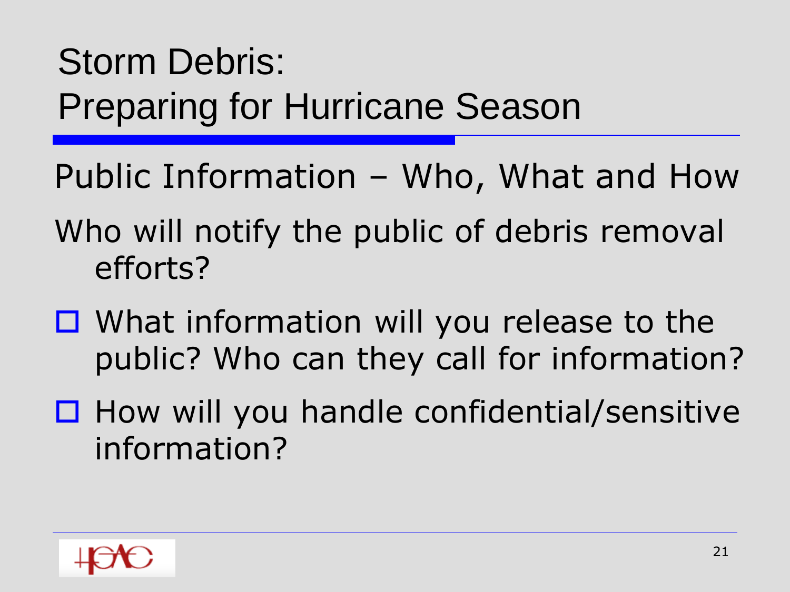Public Information – Who, What and How

- Who will notify the public of debris removal efforts?
- $\Box$  What information will you release to the public? Who can they call for information?
- $\Box$  How will you handle confidential/sensitive information?

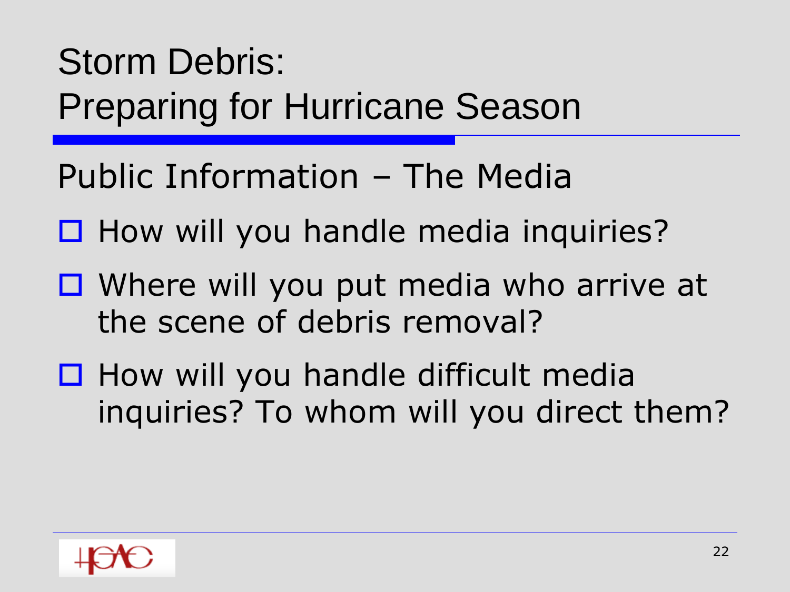Public Information – The Media

- $\Box$  How will you handle media inquiries?
- Where will you put media who arrive at the scene of debris removal?
- $\Box$  How will you handle difficult media inquiries? To whom will you direct them?

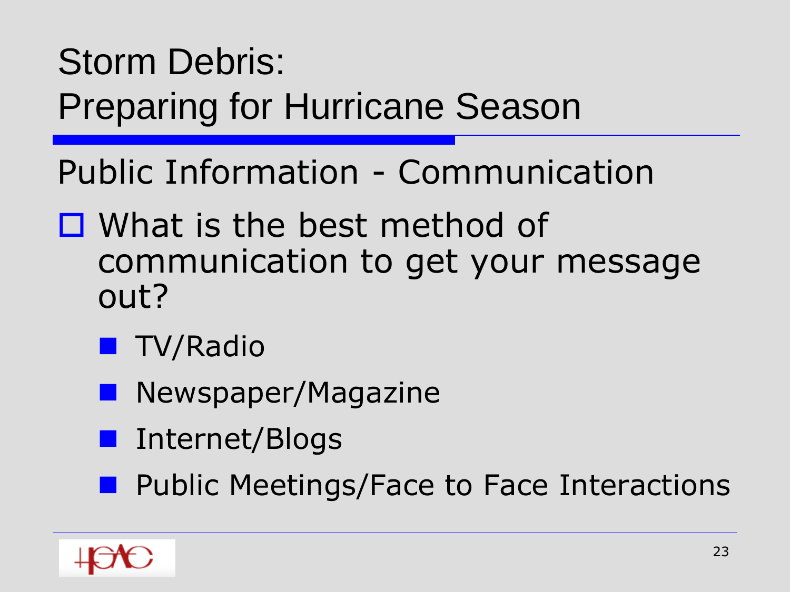Public Information - Communication

- □ What is the best method of communication to get your message out?
	- **TV/Radio**
	- **Newspaper/Magazine**
	- Internet/Blogs
	- **Public Meetings/Face to Face Interactions**

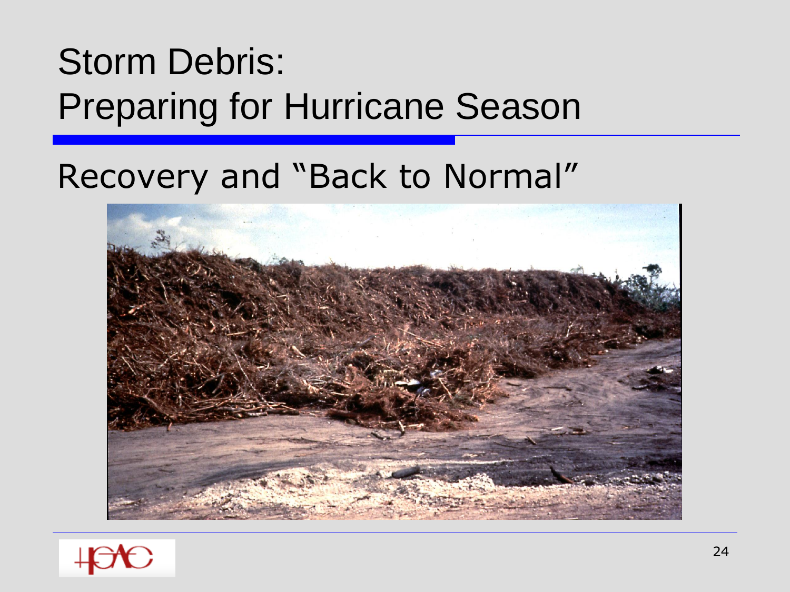#### Recovery and "Back to Normal"



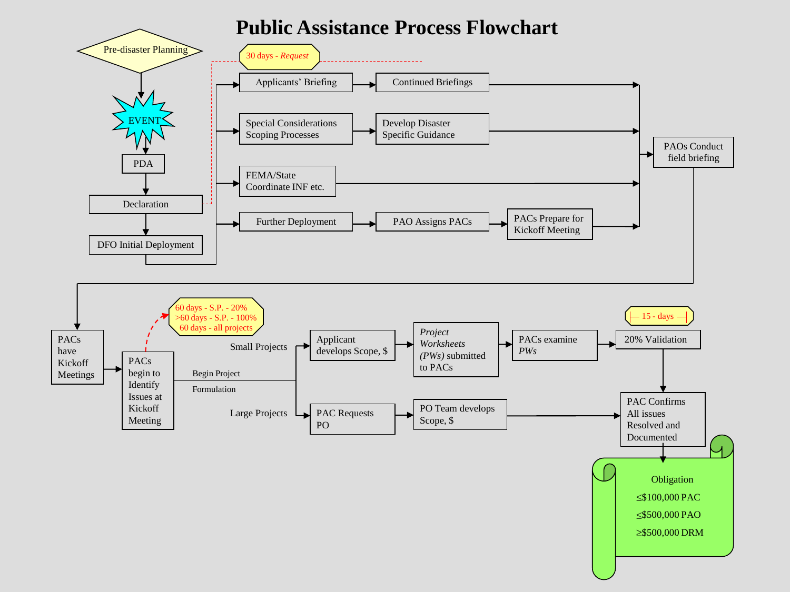#### **Public Assistance Process Flowchart**

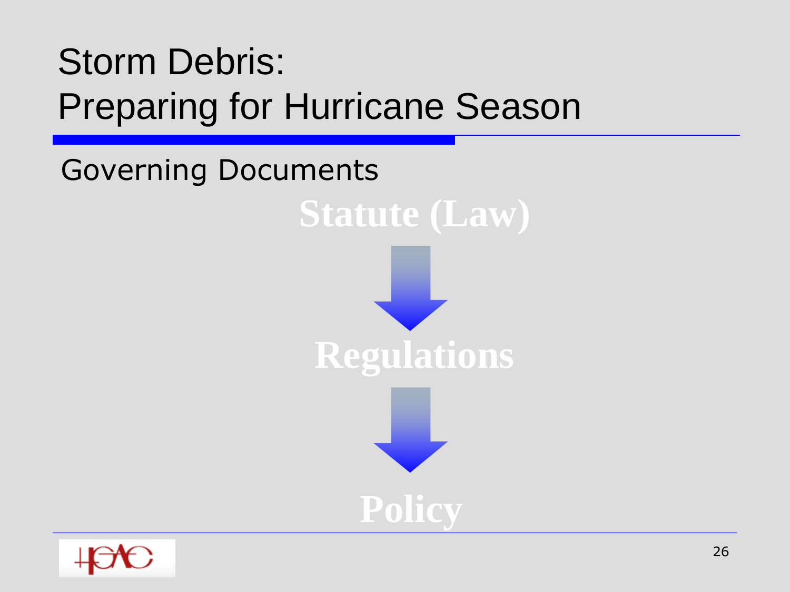Governing Documents **Statute (Law) Regulations Policy**

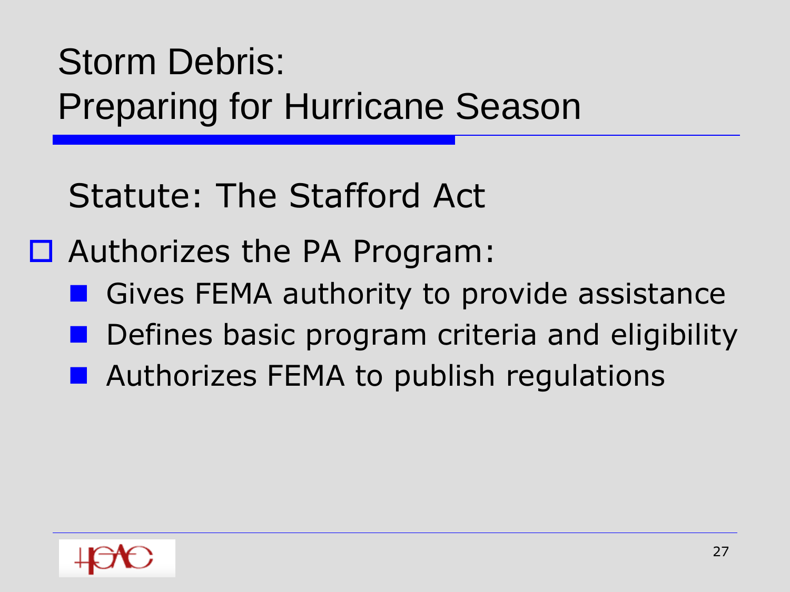Statute: The Stafford Act

□ Authorizes the PA Program:

- Gives FEMA authority to provide assistance
- Defines basic program criteria and eligibility
- **Authorizes FEMA to publish regulations**

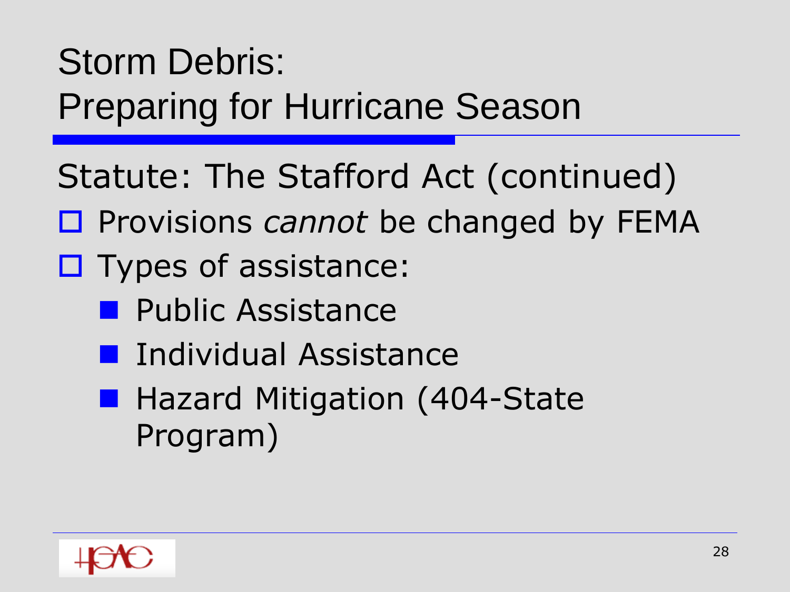- Statute: The Stafford Act (continued)
- □ Provisions *cannot* be changed by FEMA
- $\square$  Types of assistance:
	- **Public Assistance**
	- **Individual Assistance**
	- Hazard Mitigation (404-State Program)

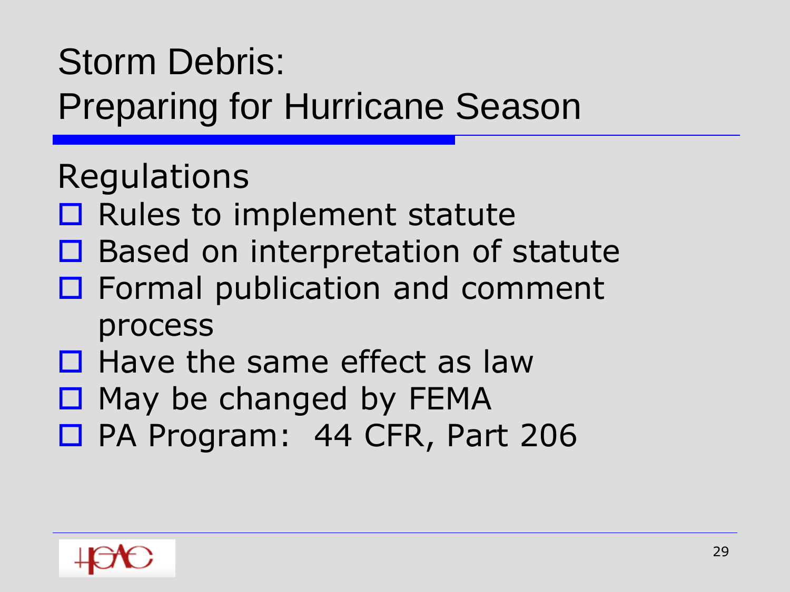# Storm Debris:

Preparing for Hurricane Season

#### Regulations

- $\square$  Rules to implement statute
- $\Box$  Based on interpretation of statute
- $\Box$  Formal publication and comment process
- $\Box$  Have the same effect as law
- $\Box$  May be changed by FEMA
- □ PA Program: 44 CFR, Part 206

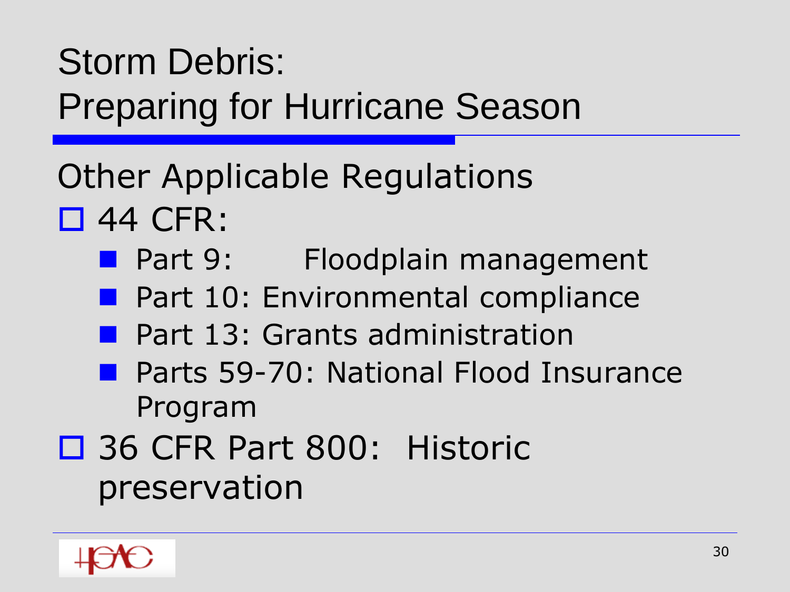#### Other Applicable Regulations 44 CFR:

- **Part 9: Floodplain management**
- **Part 10: Environmental compliance**
- Part 13: Grants administration
- **Parts 59-70: National Flood Insurance** Program
- □ 36 CFR Part 800: Historic preservation

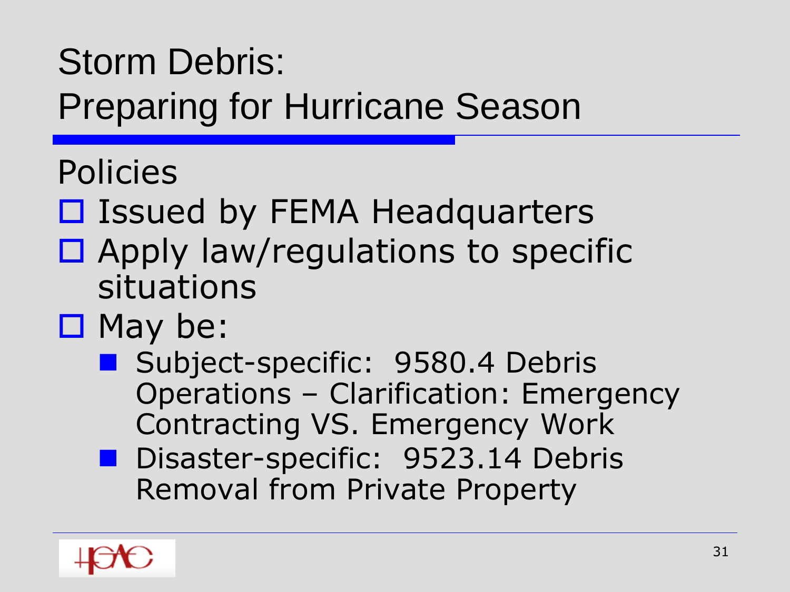Policies

- □ Issued by FEMA Headquarters
- $\Box$  Apply law/regulations to specific situations
- $\Box$  May be:
	- Subject-specific: 9580.4 Debris Operations – Clarification: Emergency Contracting VS. Emergency Work
	- Disaster-specific: 9523.14 Debris Removal from Private Property

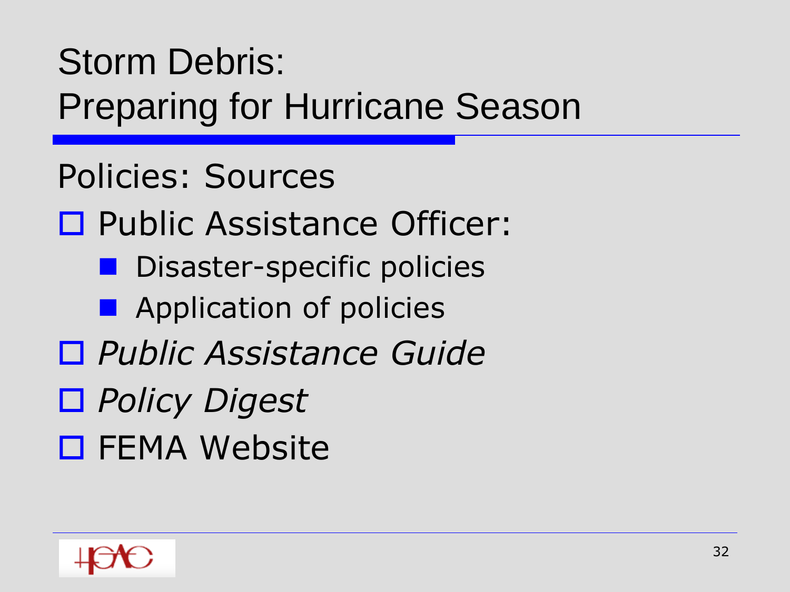Policies: Sources □ Public Assistance Officer: **Disaster-specific policies E** Application of policies *Public Assistance Guide Policy Digest* □ FEMA Website

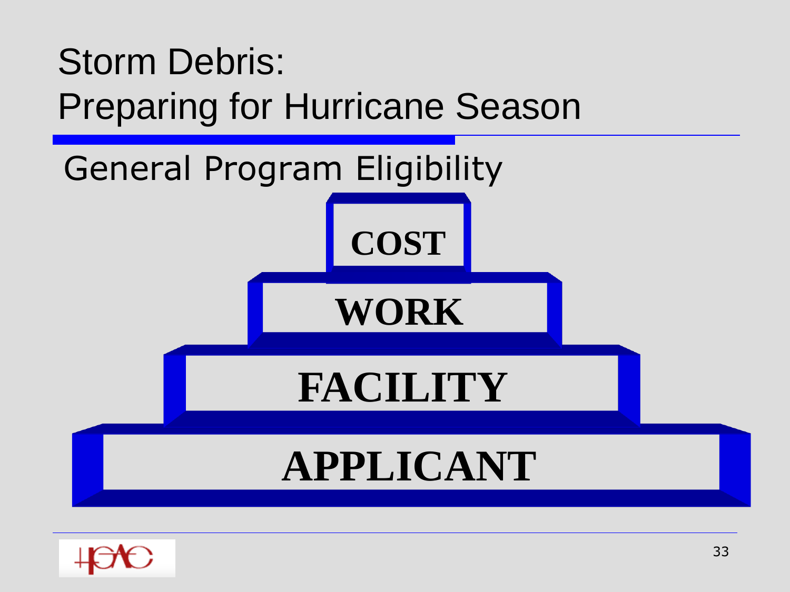

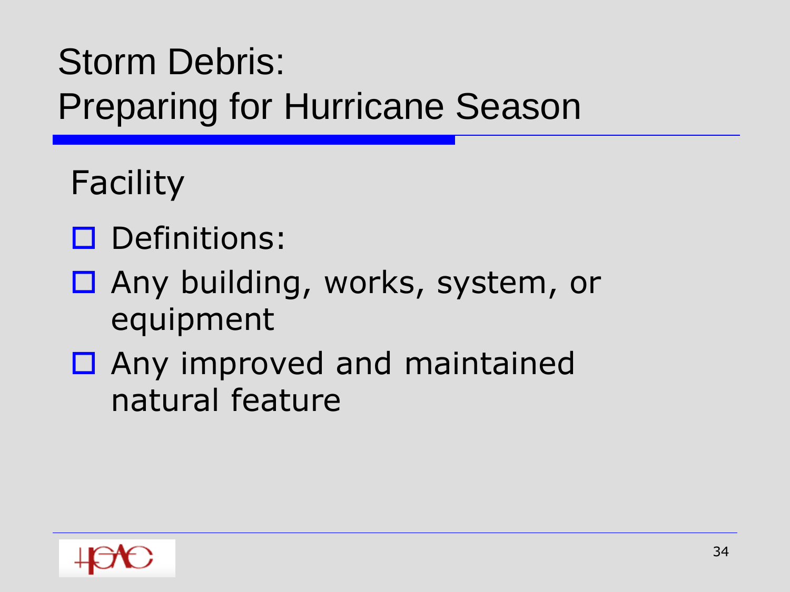Facility

- D Definitions:
- □ Any building, works, system, or equipment
- □ Any improved and maintained natural feature

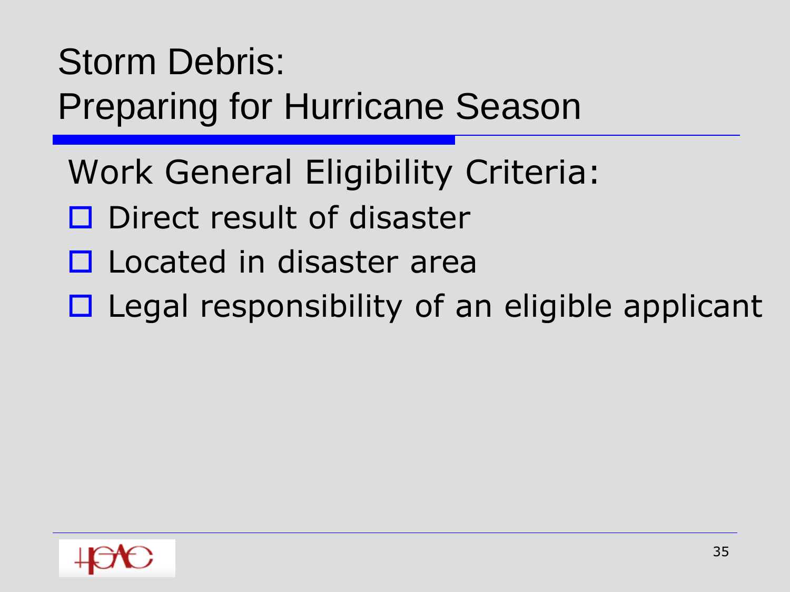- Work General Eligibility Criteria:
- D Direct result of disaster
- **D** Located in disaster area
- $\Box$  Legal responsibility of an eligible applicant

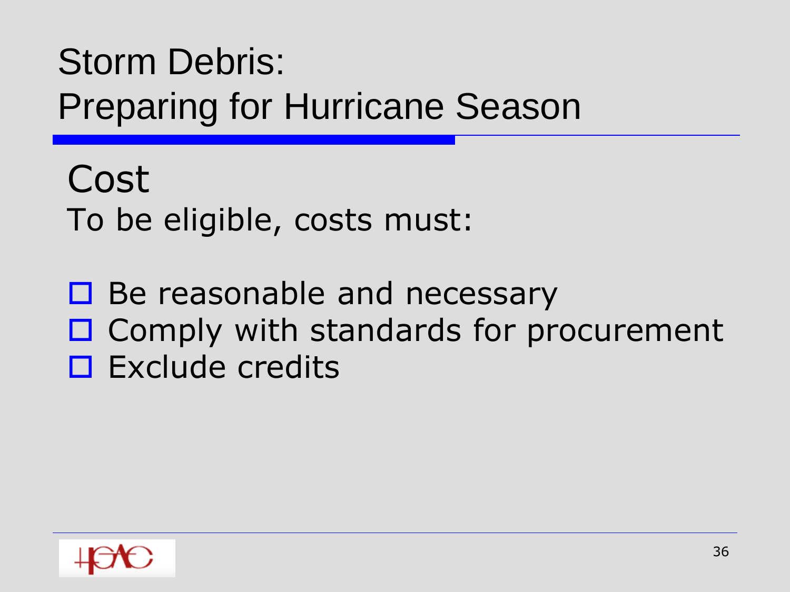Cost To be eligible, costs must:

 $\Box$  Be reasonable and necessary  $\Box$  Comply with standards for procurement  $\square$  Exclude credits

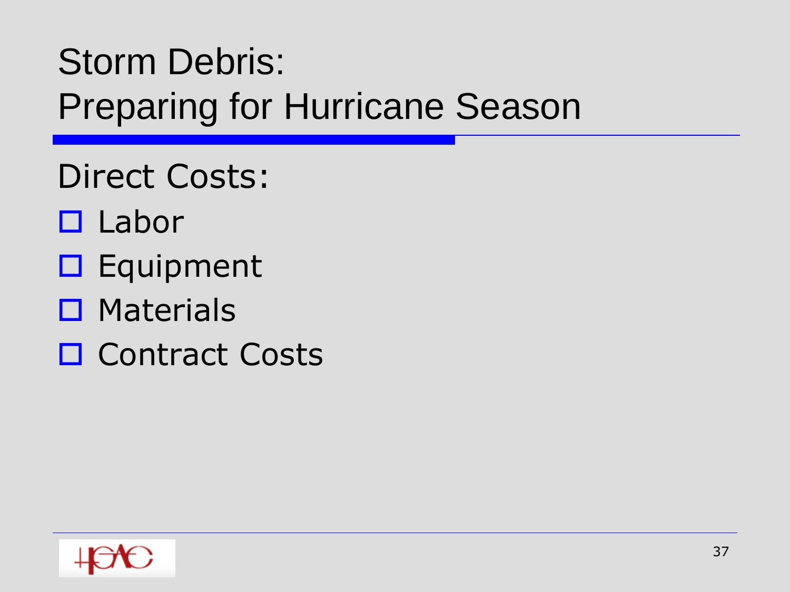- Direct Costs:
- $\Box$  Labor
- $\square$  Equipment
- $\square$  Materials
- □ Contract Costs

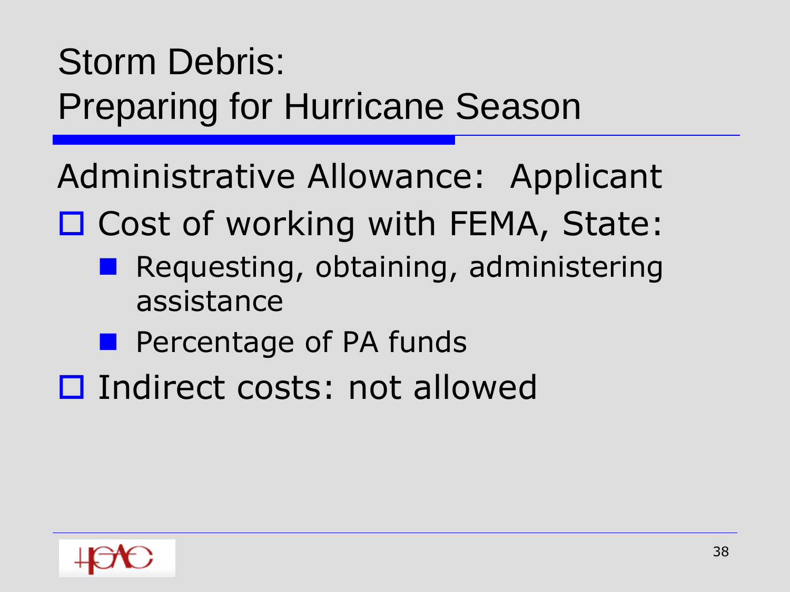Administrative Allowance: Applicant

- □ Cost of working with FEMA, State:
	- Requesting, obtaining, administering assistance
	- **Percentage of PA funds**
- □ Indirect costs: not allowed

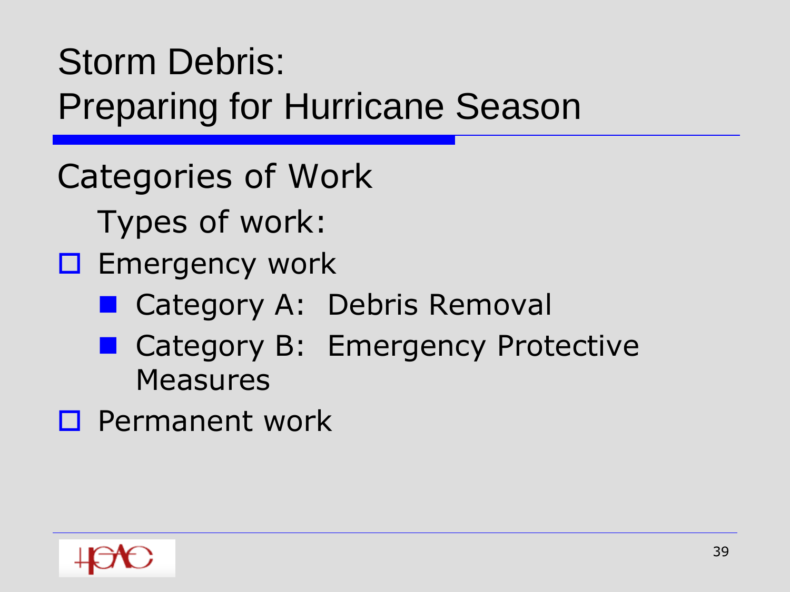Categories of Work

Types of work:

- $\square$  Emergency work
	- Category A: Debris Removal
	- Category B: Emergency Protective **Measures**
- **D** Permanent work

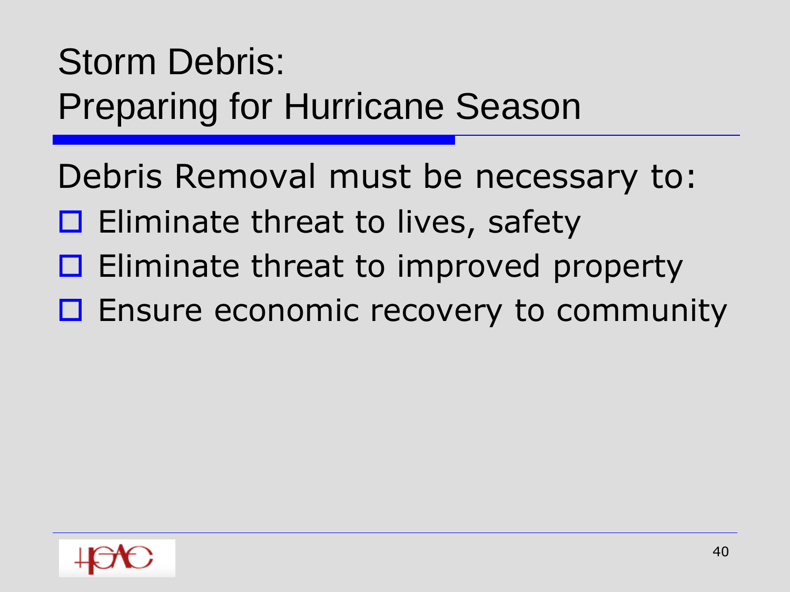Debris Removal must be necessary to:

- $\Box$  Eliminate threat to lives, safety
- $\Box$  Eliminate threat to improved property
- □ Ensure economic recovery to community

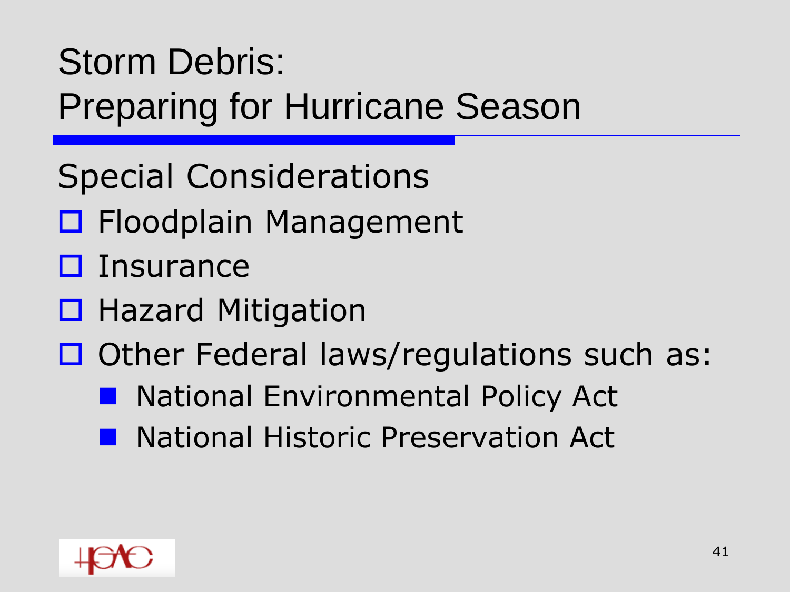- Special Considerations
- □ Floodplain Management
- $\square$  Insurance
- $\Box$  Hazard Mitigation
- $\Box$  Other Federal laws/regulations such as:
	- National Environmental Policy Act
	- National Historic Preservation Act

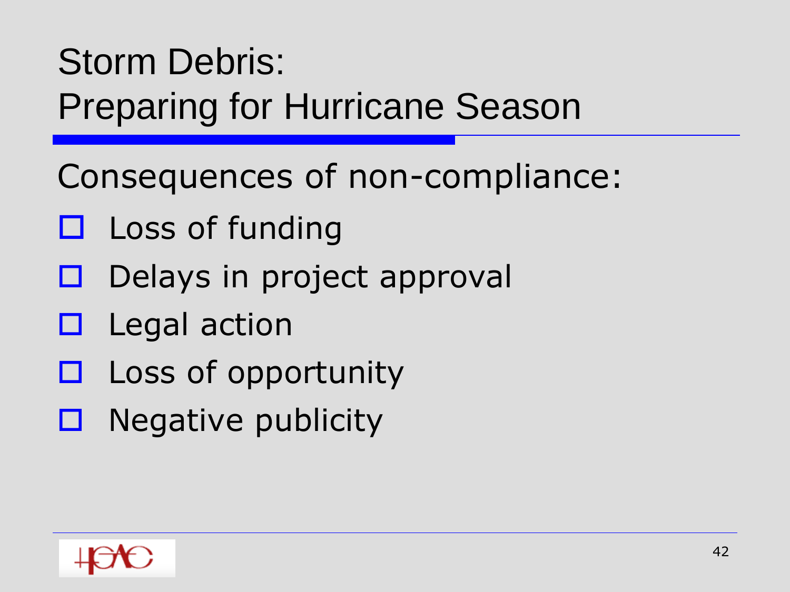Consequences of non-compliance:

- $\Box$  Loss of funding
- $\Box$  Delays in project approval
- $\Box$  Legal action
- $\square$  Loss of opportunity
- $\Box$  Negative publicity

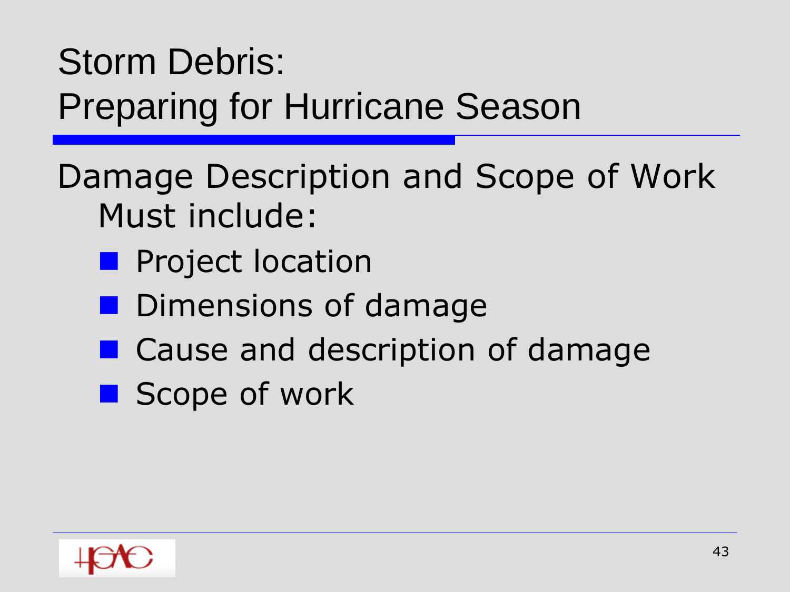Damage Description and Scope of Work Must include:

- **Project location**
- **Dimensions of damage**
- Cause and description of damage
- Scope of work

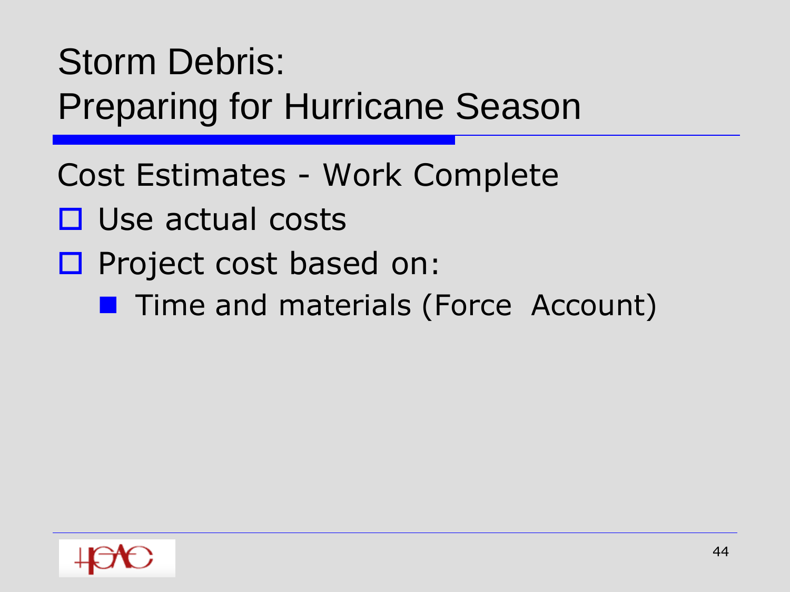- Cost Estimates Work Complete
- $\square$  Use actual costs
- $\square$  Project cost based on:
	- **Time and materials (Force Account)**

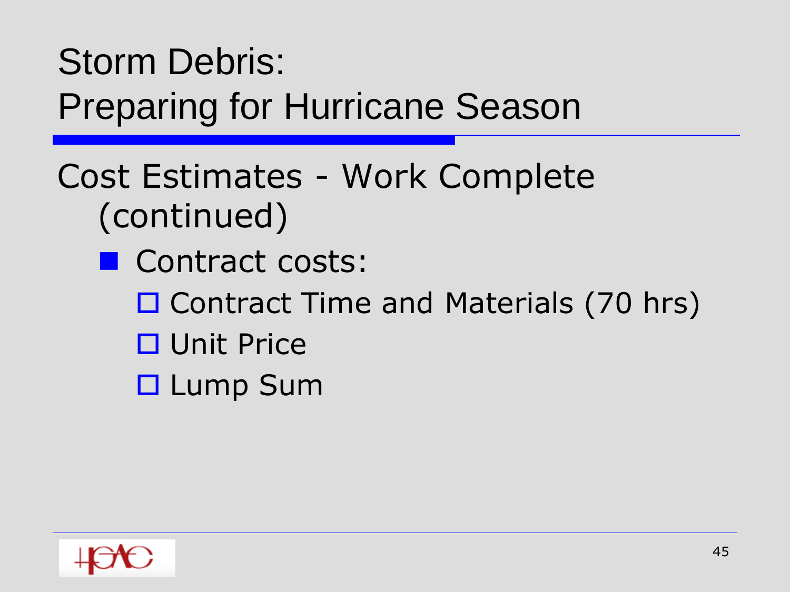#### Cost Estimates - Work Complete (continued)

- Contract costs:
	- □ Contract Time and Materials (70 hrs)
	- □ Unit Price
	- □ Lump Sum

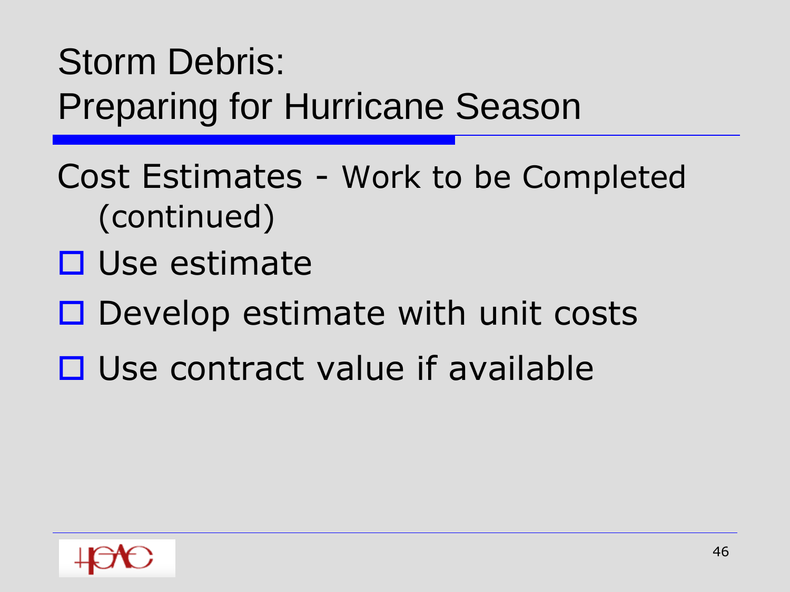- Cost Estimates Work to be Completed (continued)
- □ Use estimate
- $\Box$  Develop estimate with unit costs
- $\Box$  Use contract value if available

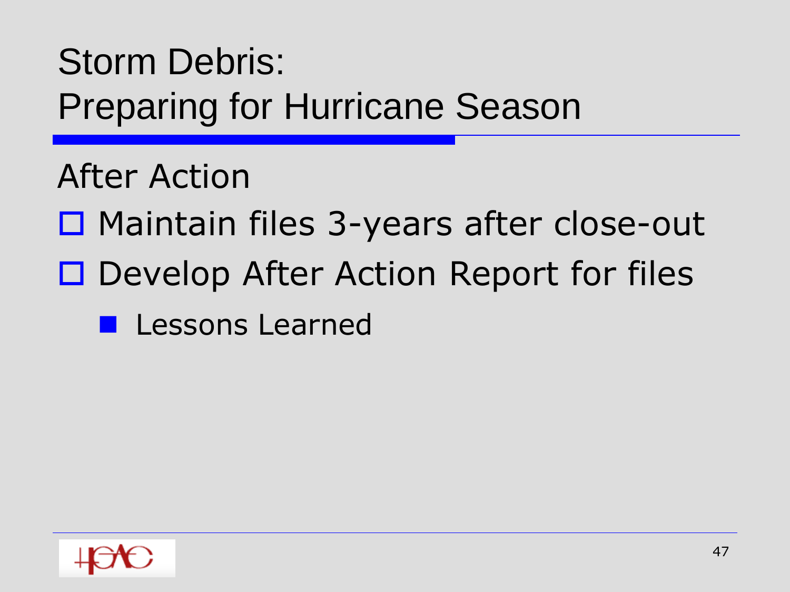After Action

- □ Maintain files 3-years after close-out
- □ Develop After Action Report for files
	- **Lessons Learned**

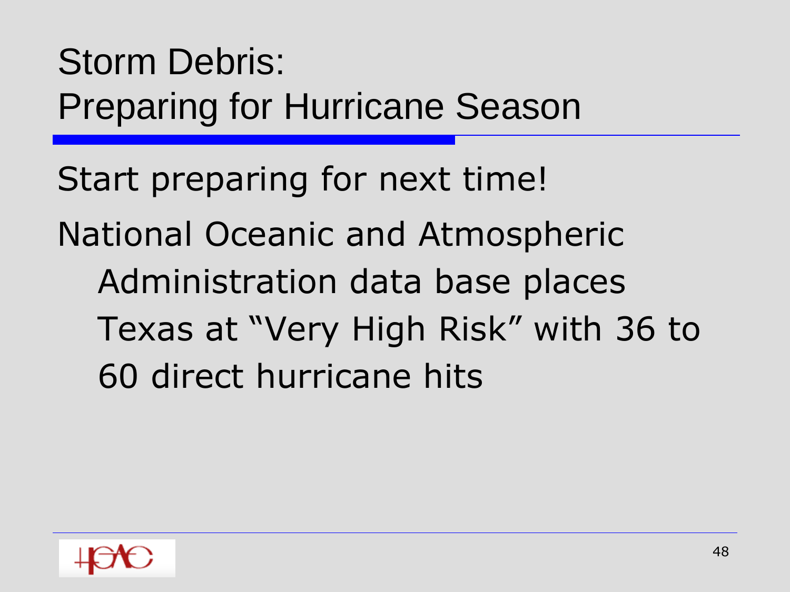Start preparing for next time! National Oceanic and Atmospheric Administration data base places Texas at "Very High Risk" with 36 to 60 direct hurricane hits

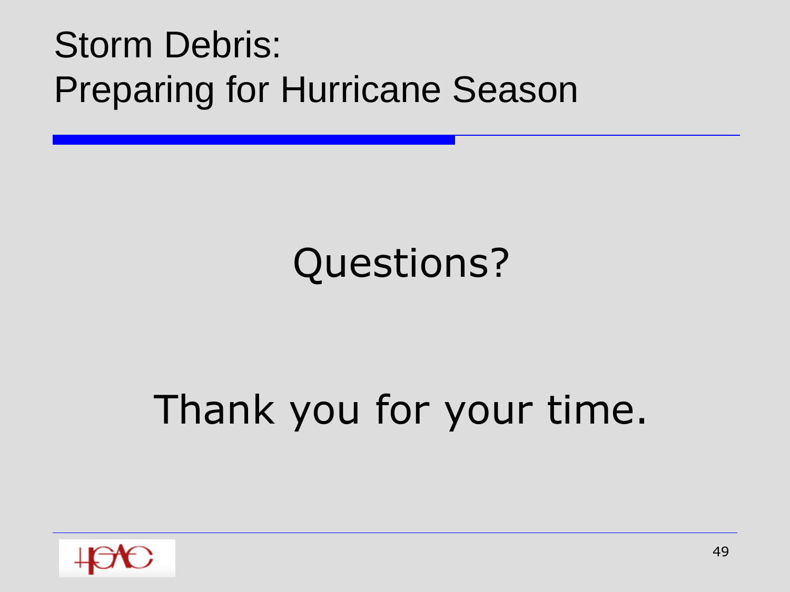# Questions?

# Thank you for your time.